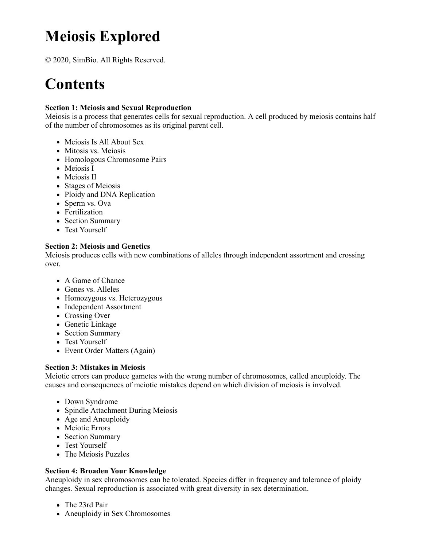# **Meiosis Explored**

© 2020, SimBio. All Rights Reserved.

## **Contents**

#### **Section 1: Meiosis and Sexual Reproduction**

Meiosis is a process that generates cells for sexual reproduction. A cell produced by meiosis contains half of the number of chromosomes as its original parent cell.

- Meiosis Is All About Sex
- Mitosis vs. Meiosis
- Homologous Chromosome Pairs
- Meiosis I
- Meiosis II
- Stages of Meiosis
- Ploidy and DNA Replication
- Sperm vs. Ova
- Fertilization
- Section Summary
- Test Yourself

#### **Section 2: Meiosis and Genetics**

Meiosis produces cells with new combinations of alleles through independent assortment and crossing over.

- A Game of Chance
- Genes vs. Alleles
- Homozygous vs. Heterozygous
- Independent Assortment
- Crossing Over
- Genetic Linkage
- Section Summary
- Test Yourself
- Event Order Matters (Again)

#### **Section 3: Mistakes in Meiosis**

Meiotic errors can produce gametes with the wrong number of chromosomes, called aneuploidy. The causes and consequences of meiotic mistakes depend on which division of meiosis is involved.

- Down Syndrome
- Spindle Attachment During Meiosis
- Age and Aneuploidy
- Meiotic Errors
- Section Summary
- Test Yourself
- The Meiosis Puzzles

#### **Section 4: Broaden Your Knowledge**

Aneuploidy in sex chromosomes can be tolerated. Species differ in frequency and tolerance of ploidy changes. Sexual reproduction is associated with great diversity in sex determination.

- The 23rd Pair
- Aneuploidy in Sex Chromosomes